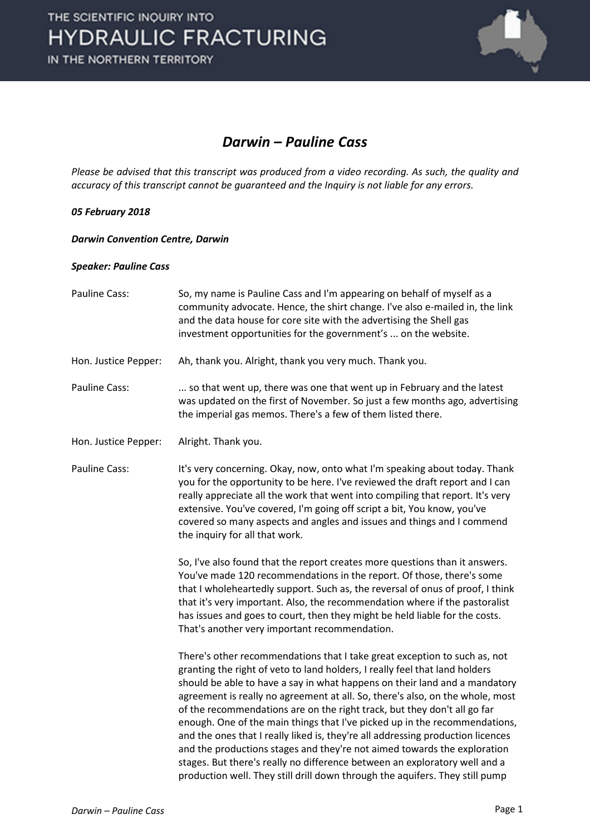

### *Darwin – Pauline Cass*

*Please be advised that this transcript was produced from a video recording. As such, the quality and accuracy of this transcript cannot be guaranteed and the Inquiry is not liable for any errors.*

#### *05 February 2018*

*Darwin Convention Centre, Darwin* 

#### *Speaker: Pauline Cass*

| Pauline Cass:        | So, my name is Pauline Cass and I'm appearing on behalf of myself as a<br>community advocate. Hence, the shirt change. I've also e-mailed in, the link<br>and the data house for core site with the advertising the Shell gas<br>investment opportunities for the government's  on the website.                                                                                                                                                                                                                                                                                                                                                                                                                                                                                                                |
|----------------------|----------------------------------------------------------------------------------------------------------------------------------------------------------------------------------------------------------------------------------------------------------------------------------------------------------------------------------------------------------------------------------------------------------------------------------------------------------------------------------------------------------------------------------------------------------------------------------------------------------------------------------------------------------------------------------------------------------------------------------------------------------------------------------------------------------------|
| Hon. Justice Pepper: | Ah, thank you. Alright, thank you very much. Thank you.                                                                                                                                                                                                                                                                                                                                                                                                                                                                                                                                                                                                                                                                                                                                                        |
| Pauline Cass:        | so that went up, there was one that went up in February and the latest<br>was updated on the first of November. So just a few months ago, advertising<br>the imperial gas memos. There's a few of them listed there.                                                                                                                                                                                                                                                                                                                                                                                                                                                                                                                                                                                           |
| Hon. Justice Pepper: | Alright. Thank you.                                                                                                                                                                                                                                                                                                                                                                                                                                                                                                                                                                                                                                                                                                                                                                                            |
| <b>Pauline Cass:</b> | It's very concerning. Okay, now, onto what I'm speaking about today. Thank<br>you for the opportunity to be here. I've reviewed the draft report and I can<br>really appreciate all the work that went into compiling that report. It's very<br>extensive. You've covered, I'm going off script a bit, You know, you've<br>covered so many aspects and angles and issues and things and I commend<br>the inquiry for all that work.                                                                                                                                                                                                                                                                                                                                                                            |
|                      | So, I've also found that the report creates more questions than it answers.<br>You've made 120 recommendations in the report. Of those, there's some<br>that I wholeheartedly support. Such as, the reversal of onus of proof, I think<br>that it's very important. Also, the recommendation where if the pastoralist<br>has issues and goes to court, then they might be held liable for the costs.<br>That's another very important recommendation.                                                                                                                                                                                                                                                                                                                                                          |
|                      | There's other recommendations that I take great exception to such as, not<br>granting the right of veto to land holders, I really feel that land holders<br>should be able to have a say in what happens on their land and a mandatory<br>agreement is really no agreement at all. So, there's also, on the whole, most<br>of the recommendations are on the right track, but they don't all go far<br>enough. One of the main things that I've picked up in the recommendations,<br>and the ones that I really liked is, they're all addressing production licences<br>and the productions stages and they're not aimed towards the exploration<br>stages. But there's really no difference between an exploratory well and a<br>production well. They still drill down through the aquifers. They still pump |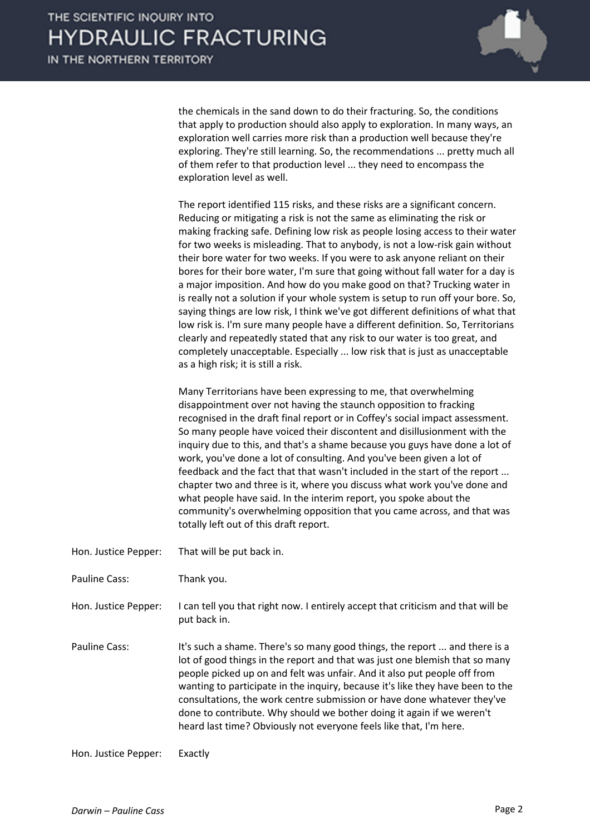

the chemicals in the sand down to do their fracturing. So, the conditions that apply to production should also apply to exploration. In many ways, an exploration well carries more risk than a production well because they're exploring. They're still learning. So, the recommendations ... pretty much all of them refer to that production level ... they need to encompass the exploration level as well.

The report identified 115 risks, and these risks are a significant concern. Reducing or mitigating a risk is not the same as eliminating the risk or making fracking safe. Defining low risk as people losing access to their water for two weeks is misleading. That to anybody, is not a low-risk gain without their bore water for two weeks. If you were to ask anyone reliant on their bores for their bore water, I'm sure that going without fall water for a day is a major imposition. And how do you make good on that? Trucking water in is really not a solution if your whole system is setup to run off your bore. So, saying things are low risk, I think we've got different definitions of what that low risk is. I'm sure many people have a different definition. So, Territorians clearly and repeatedly stated that any risk to our water is too great, and completely unacceptable. Especially ... low risk that is just as unacceptable as a high risk; it is still a risk.

Many Territorians have been expressing to me, that overwhelming disappointment over not having the staunch opposition to fracking recognised in the draft final report or in Coffey's social impact assessment. So many people have voiced their discontent and disillusionment with the inquiry due to this, and that's a shame because you guys have done a lot of work, you've done a lot of consulting. And you've been given a lot of feedback and the fact that that wasn't included in the start of the report ... chapter two and three is it, where you discuss what work you've done and what people have said. In the interim report, you spoke about the community's overwhelming opposition that you came across, and that was totally left out of this draft report.

- Hon. Justice Pepper: That will be put back in.
- Pauline Cass: Thank you.
- Hon. Justice Pepper: I can tell you that right now. I entirely accept that criticism and that will be put back in.
- Pauline Cass: It's such a shame. There's so many good things, the report ... and there is a lot of good things in the report and that was just one blemish that so many people picked up on and felt was unfair. And it also put people off from wanting to participate in the inquiry, because it's like they have been to the consultations, the work centre submission or have done whatever they've done to contribute. Why should we bother doing it again if we weren't heard last time? Obviously not everyone feels like that, I'm here.

Hon. Justice Pepper: Exactly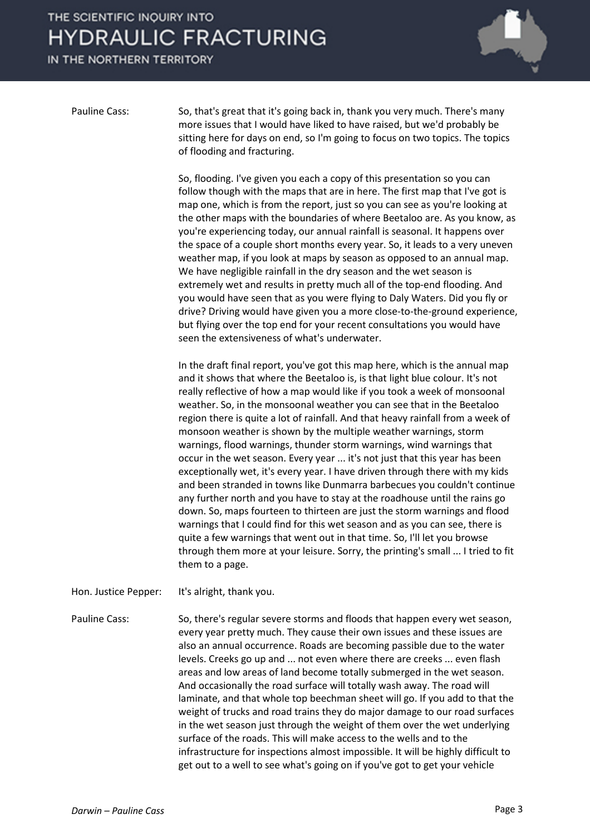## THE SCIENTIFIC INQUIRY INTO **HYDRAULIC FRACTURING**

IN THE NORTHERN TERRITORY



Pauline Cass: So, that's great that it's going back in, thank you very much. There's many more issues that I would have liked to have raised, but we'd probably be sitting here for days on end, so I'm going to focus on two topics. The topics of flooding and fracturing.

> So, flooding. I've given you each a copy of this presentation so you can follow though with the maps that are in here. The first map that I've got is map one, which is from the report, just so you can see as you're looking at the other maps with the boundaries of where Beetaloo are. As you know, as you're experiencing today, our annual rainfall is seasonal. It happens over the space of a couple short months every year. So, it leads to a very uneven weather map, if you look at maps by season as opposed to an annual map. We have negligible rainfall in the dry season and the wet season is extremely wet and results in pretty much all of the top-end flooding. And you would have seen that as you were flying to Daly Waters. Did you fly or drive? Driving would have given you a more close-to-the-ground experience, but flying over the top end for your recent consultations you would have seen the extensiveness of what's underwater.

> In the draft final report, you've got this map here, which is the annual map and it shows that where the Beetaloo is, is that light blue colour. It's not really reflective of how a map would like if you took a week of monsoonal weather. So, in the monsoonal weather you can see that in the Beetaloo region there is quite a lot of rainfall. And that heavy rainfall from a week of monsoon weather is shown by the multiple weather warnings, storm warnings, flood warnings, thunder storm warnings, wind warnings that occur in the wet season. Every year ... it's not just that this year has been exceptionally wet, it's every year. I have driven through there with my kids and been stranded in towns like Dunmarra barbecues you couldn't continue any further north and you have to stay at the roadhouse until the rains go down. So, maps fourteen to thirteen are just the storm warnings and flood warnings that I could find for this wet season and as you can see, there is quite a few warnings that went out in that time. So, I'll let you browse through them more at your leisure. Sorry, the printing's small ... I tried to fit them to a page.

Hon. Justice Pepper: It's alright, thank you.

Pauline Cass: So, there's regular severe storms and floods that happen every wet season, every year pretty much. They cause their own issues and these issues are also an annual occurrence. Roads are becoming passible due to the water levels. Creeks go up and ... not even where there are creeks ... even flash areas and low areas of land become totally submerged in the wet season. And occasionally the road surface will totally wash away. The road will laminate, and that whole top beechman sheet will go. If you add to that the weight of trucks and road trains they do major damage to our road surfaces in the wet season just through the weight of them over the wet underlying surface of the roads. This will make access to the wells and to the infrastructure for inspections almost impossible. It will be highly difficult to get out to a well to see what's going on if you've got to get your vehicle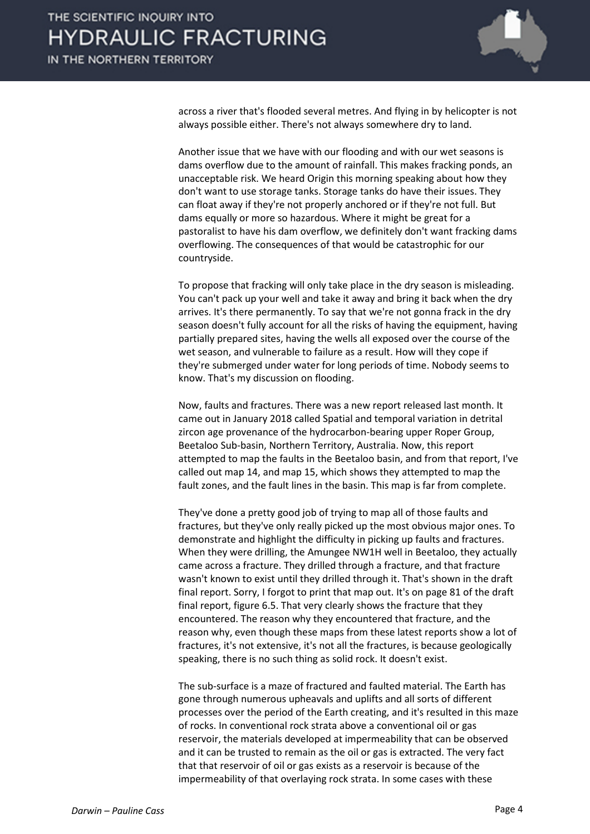

across a river that's flooded several metres. And flying in by helicopter is not always possible either. There's not always somewhere dry to land.

Another issue that we have with our flooding and with our wet seasons is dams overflow due to the amount of rainfall. This makes fracking ponds, an unacceptable risk. We heard Origin this morning speaking about how they don't want to use storage tanks. Storage tanks do have their issues. They can float away if they're not properly anchored or if they're not full. But dams equally or more so hazardous. Where it might be great for a pastoralist to have his dam overflow, we definitely don't want fracking dams overflowing. The consequences of that would be catastrophic for our countryside.

To propose that fracking will only take place in the dry season is misleading. You can't pack up your well and take it away and bring it back when the dry arrives. It's there permanently. To say that we're not gonna frack in the dry season doesn't fully account for all the risks of having the equipment, having partially prepared sites, having the wells all exposed over the course of the wet season, and vulnerable to failure as a result. How will they cope if they're submerged under water for long periods of time. Nobody seems to know. That's my discussion on flooding.

Now, faults and fractures. There was a new report released last month. It came out in January 2018 called Spatial and temporal variation in detrital zircon age provenance of the hydrocarbon-bearing upper Roper Group, Beetaloo Sub-basin, Northern Territory, Australia. Now, this report attempted to map the faults in the Beetaloo basin, and from that report, I've called out map 14, and map 15, which shows they attempted to map the fault zones, and the fault lines in the basin. This map is far from complete.

They've done a pretty good job of trying to map all of those faults and fractures, but they've only really picked up the most obvious major ones. To demonstrate and highlight the difficulty in picking up faults and fractures. When they were drilling, the Amungee NW1H well in Beetaloo, they actually came across a fracture. They drilled through a fracture, and that fracture wasn't known to exist until they drilled through it. That's shown in the draft final report. Sorry, I forgot to print that map out. It's on page 81 of the draft final report, figure 6.5. That very clearly shows the fracture that they encountered. The reason why they encountered that fracture, and the reason why, even though these maps from these latest reports show a lot of fractures, it's not extensive, it's not all the fractures, is because geologically speaking, there is no such thing as solid rock. It doesn't exist.

The sub-surface is a maze of fractured and faulted material. The Earth has gone through numerous upheavals and uplifts and all sorts of different processes over the period of the Earth creating, and it's resulted in this maze of rocks. In conventional rock strata above a conventional oil or gas reservoir, the materials developed at impermeability that can be observed and it can be trusted to remain as the oil or gas is extracted. The very fact that that reservoir of oil or gas exists as a reservoir is because of the impermeability of that overlaying rock strata. In some cases with these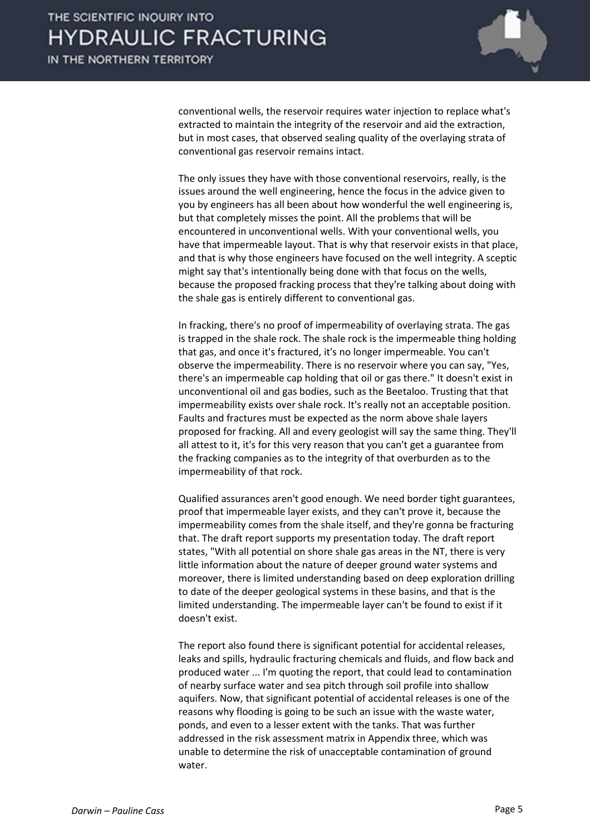

conventional wells, the reservoir requires water injection to replace what's extracted to maintain the integrity of the reservoir and aid the extraction, but in most cases, that observed sealing quality of the overlaying strata of conventional gas reservoir remains intact.

The only issues they have with those conventional reservoirs, really, is the issues around the well engineering, hence the focus in the advice given to you by engineers has all been about how wonderful the well engineering is, but that completely misses the point. All the problems that will be encountered in unconventional wells. With your conventional wells, you have that impermeable layout. That is why that reservoir exists in that place, and that is why those engineers have focused on the well integrity. A sceptic might say that's intentionally being done with that focus on the wells, because the proposed fracking process that they're talking about doing with the shale gas is entirely different to conventional gas.

In fracking, there's no proof of impermeability of overlaying strata. The gas is trapped in the shale rock. The shale rock is the impermeable thing holding that gas, and once it's fractured, it's no longer impermeable. You can't observe the impermeability. There is no reservoir where you can say, "Yes, there's an impermeable cap holding that oil or gas there." It doesn't exist in unconventional oil and gas bodies, such as the Beetaloo. Trusting that that impermeability exists over shale rock. It's really not an acceptable position. Faults and fractures must be expected as the norm above shale layers proposed for fracking. All and every geologist will say the same thing. They'll all attest to it, it's for this very reason that you can't get a guarantee from the fracking companies as to the integrity of that overburden as to the impermeability of that rock.

Qualified assurances aren't good enough. We need border tight guarantees, proof that impermeable layer exists, and they can't prove it, because the impermeability comes from the shale itself, and they're gonna be fracturing that. The draft report supports my presentation today. The draft report states, "With all potential on shore shale gas areas in the NT, there is very little information about the nature of deeper ground water systems and moreover, there is limited understanding based on deep exploration drilling to date of the deeper geological systems in these basins, and that is the limited understanding. The impermeable layer can't be found to exist if it doesn't exist.

The report also found there is significant potential for accidental releases, leaks and spills, hydraulic fracturing chemicals and fluids, and flow back and produced water ... I'm quoting the report, that could lead to contamination of nearby surface water and sea pitch through soil profile into shallow aquifers. Now, that significant potential of accidental releases is one of the reasons why flooding is going to be such an issue with the waste water, ponds, and even to a lesser extent with the tanks. That was further addressed in the risk assessment matrix in Appendix three, which was unable to determine the risk of unacceptable contamination of ground water.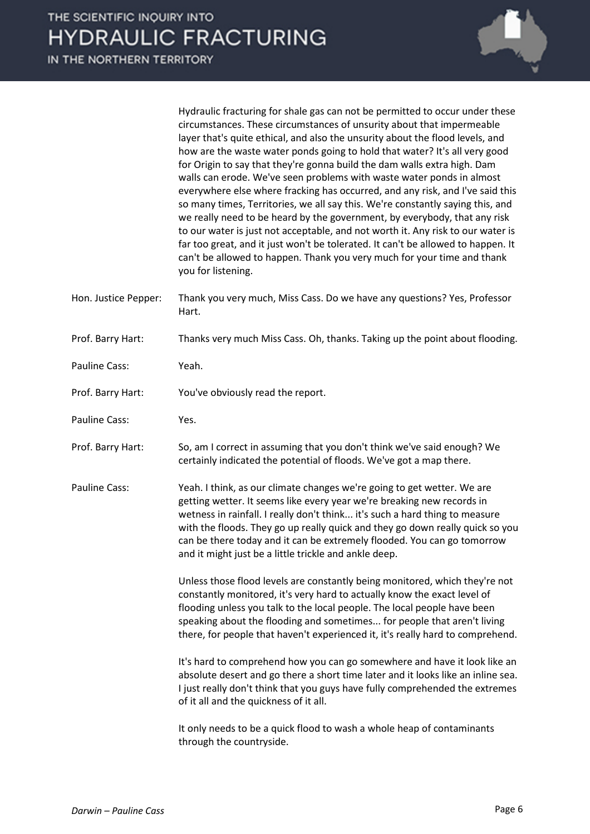|                      | Hydraulic fracturing for shale gas can not be permitted to occur under these<br>circumstances. These circumstances of unsurity about that impermeable<br>layer that's quite ethical, and also the unsurity about the flood levels, and<br>how are the waste water ponds going to hold that water? It's all very good<br>for Origin to say that they're gonna build the dam walls extra high. Dam<br>walls can erode. We've seen problems with waste water ponds in almost<br>everywhere else where fracking has occurred, and any risk, and I've said this<br>so many times, Territories, we all say this. We're constantly saying this, and<br>we really need to be heard by the government, by everybody, that any risk<br>to our water is just not acceptable, and not worth it. Any risk to our water is<br>far too great, and it just won't be tolerated. It can't be allowed to happen. It<br>can't be allowed to happen. Thank you very much for your time and thank<br>you for listening. |
|----------------------|---------------------------------------------------------------------------------------------------------------------------------------------------------------------------------------------------------------------------------------------------------------------------------------------------------------------------------------------------------------------------------------------------------------------------------------------------------------------------------------------------------------------------------------------------------------------------------------------------------------------------------------------------------------------------------------------------------------------------------------------------------------------------------------------------------------------------------------------------------------------------------------------------------------------------------------------------------------------------------------------------|
| Hon. Justice Pepper: | Thank you very much, Miss Cass. Do we have any questions? Yes, Professor<br>Hart.                                                                                                                                                                                                                                                                                                                                                                                                                                                                                                                                                                                                                                                                                                                                                                                                                                                                                                                 |
| Prof. Barry Hart:    | Thanks very much Miss Cass. Oh, thanks. Taking up the point about flooding.                                                                                                                                                                                                                                                                                                                                                                                                                                                                                                                                                                                                                                                                                                                                                                                                                                                                                                                       |
| Pauline Cass:        | Yeah.                                                                                                                                                                                                                                                                                                                                                                                                                                                                                                                                                                                                                                                                                                                                                                                                                                                                                                                                                                                             |
| Prof. Barry Hart:    | You've obviously read the report.                                                                                                                                                                                                                                                                                                                                                                                                                                                                                                                                                                                                                                                                                                                                                                                                                                                                                                                                                                 |
| Pauline Cass:        | Yes.                                                                                                                                                                                                                                                                                                                                                                                                                                                                                                                                                                                                                                                                                                                                                                                                                                                                                                                                                                                              |
| Prof. Barry Hart:    | So, am I correct in assuming that you don't think we've said enough? We<br>certainly indicated the potential of floods. We've got a map there.                                                                                                                                                                                                                                                                                                                                                                                                                                                                                                                                                                                                                                                                                                                                                                                                                                                    |
| Pauline Cass:        | Yeah. I think, as our climate changes we're going to get wetter. We are<br>getting wetter. It seems like every year we're breaking new records in<br>wetness in rainfall. I really don't think it's such a hard thing to measure<br>with the floods. They go up really quick and they go down really quick so you<br>can be there today and it can be extremely flooded. You can go tomorrow<br>and it might just be a little trickle and ankle deep.                                                                                                                                                                                                                                                                                                                                                                                                                                                                                                                                             |
|                      | Unless those flood levels are constantly being monitored, which they're not<br>constantly monitored, it's very hard to actually know the exact level of<br>flooding unless you talk to the local people. The local people have been<br>speaking about the flooding and sometimes for people that aren't living<br>there, for people that haven't experienced it, it's really hard to comprehend.                                                                                                                                                                                                                                                                                                                                                                                                                                                                                                                                                                                                  |
|                      | It's hard to comprehend how you can go somewhere and have it look like an<br>absolute desert and go there a short time later and it looks like an inline sea.<br>I just really don't think that you guys have fully comprehended the extremes<br>of it all and the quickness of it all.                                                                                                                                                                                                                                                                                                                                                                                                                                                                                                                                                                                                                                                                                                           |

It only needs to be a quick flood to wash a whole heap of contaminants through the countryside.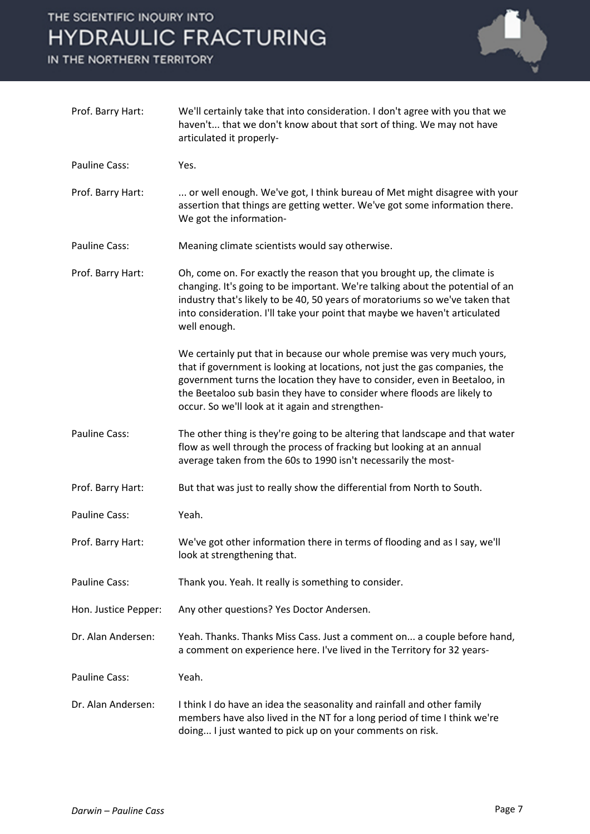# THE SCIENTIFIC INQUIRY INTO **HYDRAULIC FRACTURING**

IN THE NORTHERN TERRITORY



| Prof. Barry Hart:    | We'll certainly take that into consideration. I don't agree with you that we<br>haven't that we don't know about that sort of thing. We may not have<br>articulated it properly-                                                                                                                                                                                   |
|----------------------|--------------------------------------------------------------------------------------------------------------------------------------------------------------------------------------------------------------------------------------------------------------------------------------------------------------------------------------------------------------------|
| Pauline Cass:        | Yes.                                                                                                                                                                                                                                                                                                                                                               |
| Prof. Barry Hart:    | or well enough. We've got, I think bureau of Met might disagree with your<br>assertion that things are getting wetter. We've got some information there.<br>We got the information-                                                                                                                                                                                |
| Pauline Cass:        | Meaning climate scientists would say otherwise.                                                                                                                                                                                                                                                                                                                    |
| Prof. Barry Hart:    | Oh, come on. For exactly the reason that you brought up, the climate is<br>changing. It's going to be important. We're talking about the potential of an<br>industry that's likely to be 40, 50 years of moratoriums so we've taken that<br>into consideration. I'll take your point that maybe we haven't articulated<br>well enough.                             |
|                      | We certainly put that in because our whole premise was very much yours,<br>that if government is looking at locations, not just the gas companies, the<br>government turns the location they have to consider, even in Beetaloo, in<br>the Beetaloo sub basin they have to consider where floods are likely to<br>occur. So we'll look at it again and strengthen- |
| <b>Pauline Cass:</b> | The other thing is they're going to be altering that landscape and that water<br>flow as well through the process of fracking but looking at an annual<br>average taken from the 60s to 1990 isn't necessarily the most-                                                                                                                                           |
| Prof. Barry Hart:    | But that was just to really show the differential from North to South.                                                                                                                                                                                                                                                                                             |
| Pauline Cass:        | Yeah.                                                                                                                                                                                                                                                                                                                                                              |
| Prof. Barry Hart:    | We've got other information there in terms of flooding and as I say, we'll<br>look at strengthening that.                                                                                                                                                                                                                                                          |
| <b>Pauline Cass:</b> | Thank you. Yeah. It really is something to consider.                                                                                                                                                                                                                                                                                                               |
| Hon. Justice Pepper: | Any other questions? Yes Doctor Andersen.                                                                                                                                                                                                                                                                                                                          |
| Dr. Alan Andersen:   | Yeah. Thanks. Thanks Miss Cass. Just a comment on a couple before hand,<br>a comment on experience here. I've lived in the Territory for 32 years-                                                                                                                                                                                                                 |
| <b>Pauline Cass:</b> | Yeah.                                                                                                                                                                                                                                                                                                                                                              |
| Dr. Alan Andersen:   | I think I do have an idea the seasonality and rainfall and other family<br>members have also lived in the NT for a long period of time I think we're<br>doing I just wanted to pick up on your comments on risk.                                                                                                                                                   |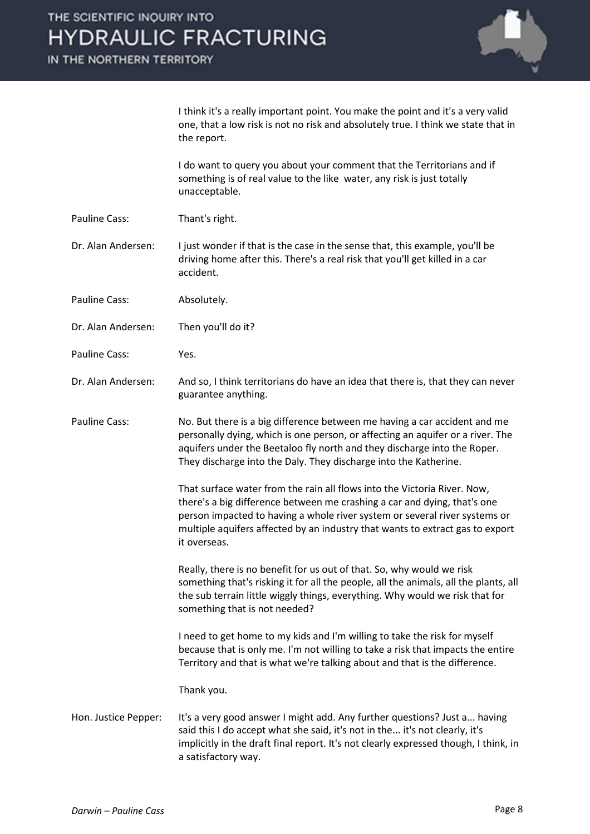IN THE NORTHERN TERRITORY



I think it's a really important point. You make the point and it's a very valid one, that a low risk is not no risk and absolutely true. I think we state that in the report.

I do want to query you about your comment that the Territorians and if something is of real value to the like water, any risk is just totally unacceptable.

Pauline Cass: Thant's right.

Dr. Alan Andersen: I just wonder if that is the case in the sense that, this example, you'll be driving home after this. There's a real risk that you'll get killed in a car accident.

- Pauline Cass: Absolutely.
- Dr. Alan Andersen: Then you'll do it?
- Pauline Cass: Yes.
- Dr. Alan Andersen: And so, I think territorians do have an idea that there is, that they can never guarantee anything.
- Pauline Cass: No. But there is a big difference between me having a car accident and me personally dying, which is one person, or affecting an aquifer or a river. The aquifers under the Beetaloo fly north and they discharge into the Roper. They discharge into the Daly. They discharge into the Katherine.

That surface water from the rain all flows into the Victoria River. Now, there's a big difference between me crashing a car and dying, that's one person impacted to having a whole river system or several river systems or multiple aquifers affected by an industry that wants to extract gas to export it overseas.

Really, there is no benefit for us out of that. So, why would we risk something that's risking it for all the people, all the animals, all the plants, all the sub terrain little wiggly things, everything. Why would we risk that for something that is not needed?

I need to get home to my kids and I'm willing to take the risk for myself because that is only me. I'm not willing to take a risk that impacts the entire Territory and that is what we're talking about and that is the difference.

Thank you.

Hon. Justice Pepper: It's a very good answer I might add. Any further questions? Just a... having said this I do accept what she said, it's not in the... it's not clearly, it's implicitly in the draft final report. It's not clearly expressed though, I think, in a satisfactory way.